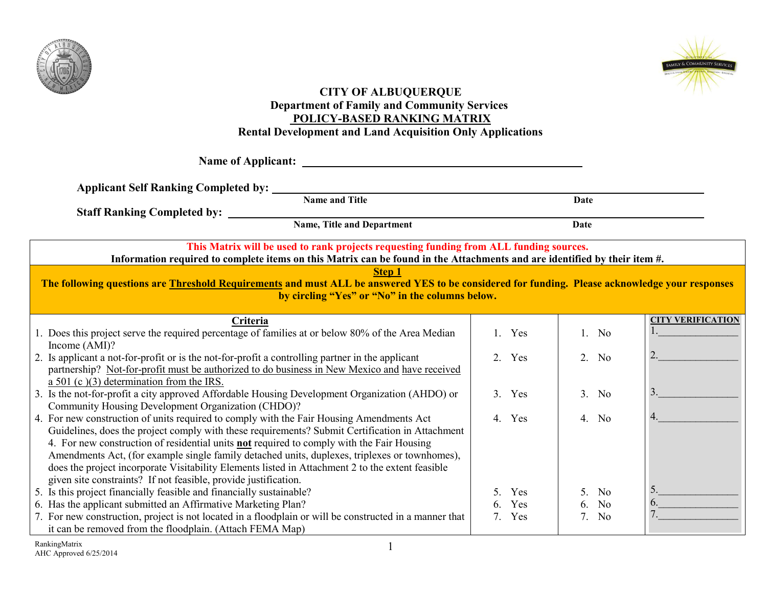



#### **CITY OF ALBUQUERQUE Department of Family and Community Services POLICY-BASED RANKING MATRIX Rental Development and Land Acquisition Only Applications**

**Name of Applicant:** 

**Applicant Self Ranking Completed by:** 

**Name and Title Date** 

**Staff Ranking Completed by:** 

**Name, Title and Department Date** 

**This Matrix will be used to rank projects requesting funding from ALL funding sources.**

**Information required to complete items on this Matrix can be found in the Attachments and are identified by their item #.** 

**Step 1**

**The following questions are Threshold Requirements and must ALL be answered YES to be considered for funding. Please acknowledge your responses by circling "Yes" or "No" in the columns below.**

|                                                                                                         |                             |                      | <b>CITY VERIFICATION</b> |
|---------------------------------------------------------------------------------------------------------|-----------------------------|----------------------|--------------------------|
| Criteria                                                                                                |                             |                      |                          |
| 1. Does this project serve the required percentage of families at or below 80% of the Area Median       | Yes                         | $1.$ No              |                          |
| Income $(AMI)$ ?                                                                                        |                             |                      |                          |
| 2. Is applicant a not-for-profit or is the not-for-profit a controlling partner in the applicant        | $2^{\circ}$<br><b>Yes</b>   | 2. No                |                          |
| partnership? Not-for-profit must be authorized to do business in New Mexico and have received           |                             |                      |                          |
| a $501$ (c)(3) determination from the IRS.                                                              |                             |                      |                          |
| 3. Is the not-for-profit a city approved Affordable Housing Development Organization (AHDO) or          | $\mathcal{E}$<br><b>Yes</b> | 3. No                |                          |
| Community Housing Development Organization (CHDO)?                                                      |                             |                      |                          |
| 4. For new construction of units required to comply with the Fair Housing Amendments Act                | Yes<br>$\overline{4}$       | 4. No                |                          |
| Guidelines, does the project comply with these requirements? Submit Certification in Attachment         |                             |                      |                          |
| 4. For new construction of residential units <b>not</b> required to comply with the Fair Housing        |                             |                      |                          |
| Amendments Act, (for example single family detached units, duplexes, triplexes or townhomes),           |                             |                      |                          |
| does the project incorporate Visitability Elements listed in Attachment 2 to the extent feasible        |                             |                      |                          |
| given site constraints? If not feasible, provide justification.                                         |                             |                      |                          |
| 5. Is this project financially feasible and financially sustainable?                                    | <b>Yes</b>                  | 5. No                |                          |
| 6. Has the applicant submitted an Affirmative Marketing Plan?                                           | Yes<br>რ.                   | N <sub>0</sub><br>6  |                          |
| 7. For new construction, project is not located in a floodplain or will be constructed in a manner that | Yes<br>7.                   | N <sub>0</sub><br>7. |                          |
| it can be removed from the floodplain. (Attach FEMA Map)                                                |                             |                      |                          |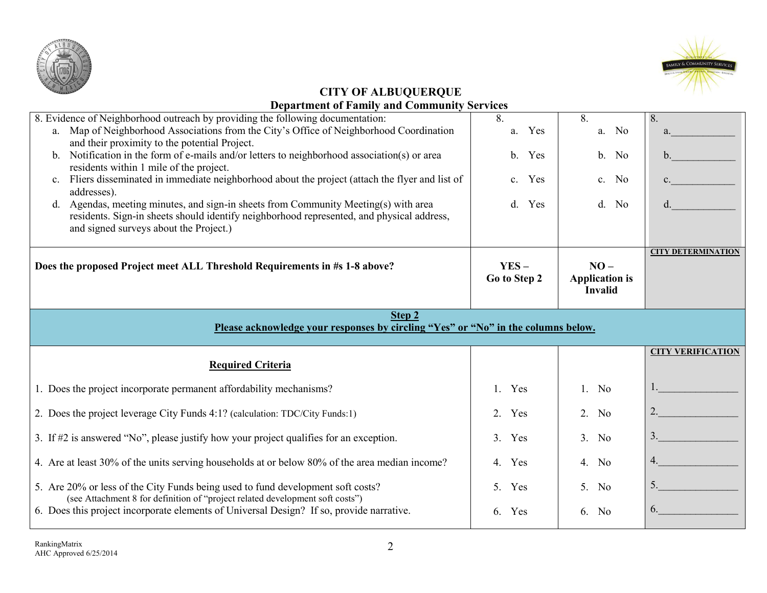



| 8. Evidence of Neighborhood outreach by providing the following documentation:                                                                                   | 8.                    | 8.                    | 8.                        |
|------------------------------------------------------------------------------------------------------------------------------------------------------------------|-----------------------|-----------------------|---------------------------|
| a. Map of Neighborhood Associations from the City's Office of Neighborhood Coordination                                                                          | Yes<br>a.             | a. No                 | a.                        |
| and their proximity to the potential Project.                                                                                                                    |                       |                       |                           |
| b. Notification in the form of e-mails and/or letters to neighborhood association(s) or area                                                                     | Yes<br>$\mathbf{b}$ . | b. No                 | $\mathbf{b}$ .            |
| residents within 1 mile of the project.                                                                                                                          |                       |                       |                           |
| Fliers disseminated in immediate neighborhood about the project (attach the flyer and list of<br>$\mathbf{c}$ .                                                  | Yes<br>$c_{\cdot}$    | c. No                 |                           |
| addresses).<br>d. Agendas, meeting minutes, and sign-in sheets from Community Meeting(s) with area                                                               | $d_{\cdot}$<br>Yes    | d. No                 |                           |
| residents. Sign-in sheets should identify neighborhood represented, and physical address,                                                                        |                       |                       |                           |
| and signed surveys about the Project.)                                                                                                                           |                       |                       |                           |
|                                                                                                                                                                  |                       |                       |                           |
|                                                                                                                                                                  |                       |                       | <b>CITY DETERMINATION</b> |
| Does the proposed Project meet ALL Threshold Requirements in #s 1-8 above?                                                                                       | $YES -$               | $NO -$                |                           |
|                                                                                                                                                                  | Go to Step 2          | <b>Application is</b> |                           |
|                                                                                                                                                                  |                       | <b>Invalid</b>        |                           |
| Step 2                                                                                                                                                           |                       |                       |                           |
|                                                                                                                                                                  |                       |                       |                           |
|                                                                                                                                                                  |                       |                       |                           |
| Please acknowledge your responses by circling "Yes" or "No" in the columns below.                                                                                |                       |                       |                           |
|                                                                                                                                                                  |                       |                       | <b>CITY VERIFICATION</b>  |
| <b>Required Criteria</b>                                                                                                                                         |                       |                       |                           |
|                                                                                                                                                                  |                       |                       |                           |
| 1. Does the project incorporate permanent affordability mechanisms?                                                                                              | Yes<br>$1_{-}$        | $1.$ No               |                           |
| 2. Does the project leverage City Funds 4:1? (calculation: TDC/City Funds:1)                                                                                     | Yes<br>2.             | 2. No                 | 2.                        |
|                                                                                                                                                                  |                       |                       |                           |
| 3. If #2 is answered "No", please justify how your project qualifies for an exception.                                                                           | $\mathcal{E}$<br>Yes  | 3. No                 | 3.                        |
|                                                                                                                                                                  |                       |                       |                           |
| 4. Are at least 30% of the units serving households at or below 80% of the area median income?                                                                   | Yes<br>4.             | 4. No                 | 4.                        |
|                                                                                                                                                                  | 5.                    |                       | 5.                        |
| 5. Are 20% or less of the City Funds being used to fund development soft costs?<br>(see Attachment 8 for definition of "project related development soft costs") | Yes                   | 5. No                 |                           |
| 6. Does this project incorporate elements of Universal Design? If so, provide narrative.                                                                         | Yes<br>6.             | 6. No                 | 6.                        |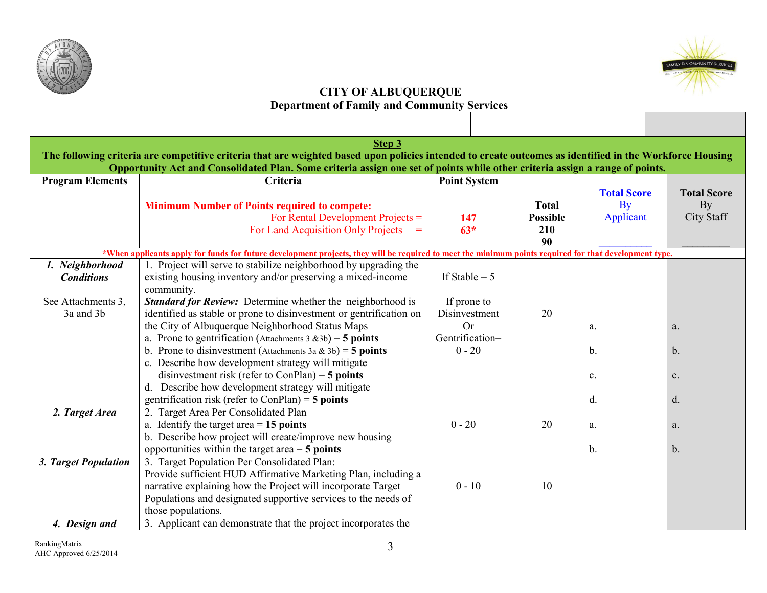



| Step 3<br>The following criteria are competitive criteria that are weighted based upon policies intended to create outcomes as identified in the Workforce Housing |                                                                                                                                                        |                     |                 |                    |                    |
|--------------------------------------------------------------------------------------------------------------------------------------------------------------------|--------------------------------------------------------------------------------------------------------------------------------------------------------|---------------------|-----------------|--------------------|--------------------|
|                                                                                                                                                                    | Opportunity Act and Consolidated Plan. Some criteria assign one set of points while other criteria assign a range of points.                           |                     |                 |                    |                    |
| <b>Program Elements</b>                                                                                                                                            | Criteria                                                                                                                                               | <b>Point System</b> |                 |                    |                    |
|                                                                                                                                                                    |                                                                                                                                                        |                     |                 | <b>Total Score</b> | <b>Total Score</b> |
|                                                                                                                                                                    | <b>Minimum Number of Points required to compete:</b>                                                                                                   |                     | <b>Total</b>    | By                 | By                 |
|                                                                                                                                                                    | For Rental Development Projects $=$                                                                                                                    | 147                 | <b>Possible</b> | Applicant          | <b>City Staff</b>  |
|                                                                                                                                                                    | For Land Acquisition Only Projects $=$                                                                                                                 | $63*$               | 210<br>90       |                    |                    |
|                                                                                                                                                                    | *When applicants apply for funds for future development projects, they will be required to meet the minimum points required for that development type. |                     |                 |                    |                    |
| 1. Neighborhood                                                                                                                                                    | 1. Project will serve to stabilize neighborhood by upgrading the                                                                                       |                     |                 |                    |                    |
| <b>Conditions</b>                                                                                                                                                  | existing housing inventory and/or preserving a mixed-income                                                                                            | If Stable $= 5$     |                 |                    |                    |
|                                                                                                                                                                    | community.                                                                                                                                             |                     |                 |                    |                    |
| See Attachments 3,                                                                                                                                                 | <b>Standard for Review:</b> Determine whether the neighborhood is                                                                                      | If prone to         |                 |                    |                    |
| 3a and 3b                                                                                                                                                          | identified as stable or prone to disinvestment or gentrification on                                                                                    | Disinvestment       | 20              |                    |                    |
|                                                                                                                                                                    | the City of Albuquerque Neighborhood Status Maps                                                                                                       | <b>Or</b>           |                 | a.                 | a.                 |
|                                                                                                                                                                    | a. Prone to gentrification (Attachments $3 \& 3b$ ) = 5 points                                                                                         | Gentrification=     |                 |                    |                    |
|                                                                                                                                                                    | b. Prone to disinvestment (Attachments 3a & 3b) = 5 points                                                                                             | $0 - 20$            |                 | b <sub>1</sub>     | b.                 |
|                                                                                                                                                                    | c. Describe how development strategy will mitigate                                                                                                     |                     |                 |                    |                    |
|                                                                                                                                                                    | disinvestment risk (refer to ConPlan) = $5$ points                                                                                                     |                     |                 | $\mathbf{c}$ .     | c.                 |
|                                                                                                                                                                    | d. Describe how development strategy will mitigate                                                                                                     |                     |                 |                    |                    |
|                                                                                                                                                                    | gentrification risk (refer to $ConPlan$ ) = 5 points                                                                                                   |                     |                 | d.                 | d.                 |
| 2. Target Area                                                                                                                                                     | 2. Target Area Per Consolidated Plan                                                                                                                   | $0 - 20$            | 20              |                    |                    |
|                                                                                                                                                                    | a. Identify the target area $= 15$ points                                                                                                              |                     |                 | a.                 | a.                 |
|                                                                                                                                                                    | b. Describe how project will create/improve new housing<br>opportunities within the target area $=$ 5 points                                           |                     |                 | b.                 | b.                 |
| 3. Target Population                                                                                                                                               | 3. Target Population Per Consolidated Plan:                                                                                                            |                     |                 |                    |                    |
|                                                                                                                                                                    | Provide sufficient HUD Affirmative Marketing Plan, including a                                                                                         |                     |                 |                    |                    |
|                                                                                                                                                                    | narrative explaining how the Project will incorporate Target                                                                                           | $0 - 10$            | 10              |                    |                    |
|                                                                                                                                                                    | Populations and designated supportive services to the needs of                                                                                         |                     |                 |                    |                    |
|                                                                                                                                                                    | those populations.                                                                                                                                     |                     |                 |                    |                    |
| 4. Design and                                                                                                                                                      | 3. Applicant can demonstrate that the project incorporates the                                                                                         |                     |                 |                    |                    |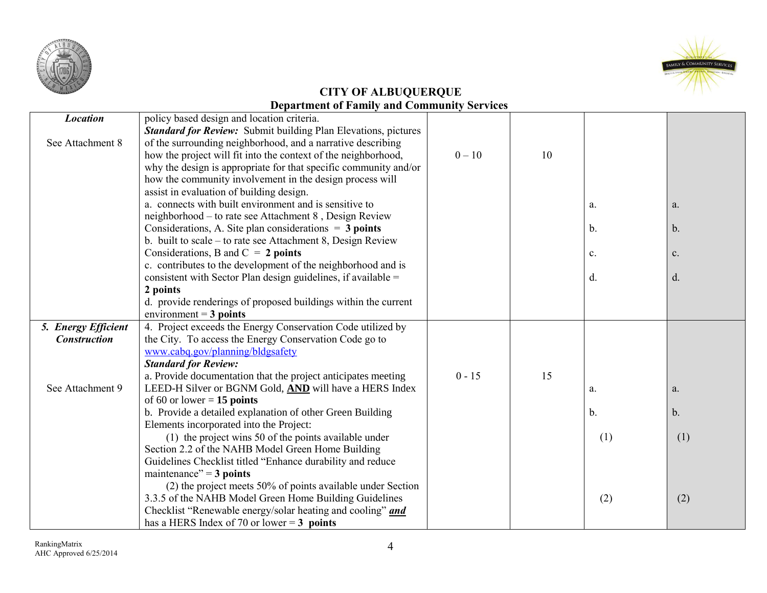



| <b>Location</b>     | policy based design and location criteria.                            |          |    |                |                |
|---------------------|-----------------------------------------------------------------------|----------|----|----------------|----------------|
|                     | <b>Standard for Review:</b> Submit building Plan Elevations, pictures |          |    |                |                |
| See Attachment 8    | of the surrounding neighborhood, and a narrative describing           |          |    |                |                |
|                     | how the project will fit into the context of the neighborhood,        | $0 - 10$ | 10 |                |                |
|                     | why the design is appropriate for that specific community and/or      |          |    |                |                |
|                     | how the community involvement in the design process will              |          |    |                |                |
|                     | assist in evaluation of building design.                              |          |    |                |                |
|                     | a. connects with built environment and is sensitive to                |          |    | a.             | a.             |
|                     | neighborhood – to rate see Attachment 8, Design Review                |          |    |                |                |
|                     | Considerations, A. Site plan considerations $= 3$ points              |          |    | $\mathbf{b}$ . | b.             |
|                     | b. built to scale – to rate see Attachment 8, Design Review           |          |    |                |                |
|                     | Considerations, B and $C = 2$ points                                  |          |    | c.             | c.             |
|                     | c. contributes to the development of the neighborhood and is          |          |    |                |                |
|                     | consistent with Sector Plan design guidelines, if available $=$       |          |    | d.             | d.             |
|                     | 2 points                                                              |          |    |                |                |
|                     | d. provide renderings of proposed buildings within the current        |          |    |                |                |
|                     | environment = $3$ points                                              |          |    |                |                |
| 5. Energy Efficient | 4. Project exceeds the Energy Conservation Code utilized by           |          |    |                |                |
| <b>Construction</b> | the City. To access the Energy Conservation Code go to                |          |    |                |                |
|                     | www.cabq.gov/planning/bldgsafety                                      |          |    |                |                |
|                     | <b>Standard for Review:</b>                                           |          |    |                |                |
|                     | a. Provide documentation that the project anticipates meeting         | $0 - 15$ | 15 |                |                |
| See Attachment 9    | LEED-H Silver or BGNM Gold, AND will have a HERS Index                |          |    | a.             | a.             |
|                     | of 60 or lower = $15$ points                                          |          |    |                |                |
|                     | b. Provide a detailed explanation of other Green Building             |          |    | $\mathbf{b}$ . | $\mathbf{b}$ . |
|                     | Elements incorporated into the Project:                               |          |    |                |                |
|                     | (1) the project wins 50 of the points available under                 |          |    | (1)            | (1)            |
|                     | Section 2.2 of the NAHB Model Green Home Building                     |          |    |                |                |
|                     | Guidelines Checklist titled "Enhance durability and reduce            |          |    |                |                |
|                     | maintenance" = $3$ points                                             |          |    |                |                |
|                     | (2) the project meets 50% of points available under Section           |          |    |                |                |
|                     | 3.3.5 of the NAHB Model Green Home Building Guidelines                |          |    | (2)            | (2)            |
|                     | Checklist "Renewable energy/solar heating and cooling" and            |          |    |                |                |
|                     | has a HERS Index of 70 or lower = $3$ points                          |          |    |                |                |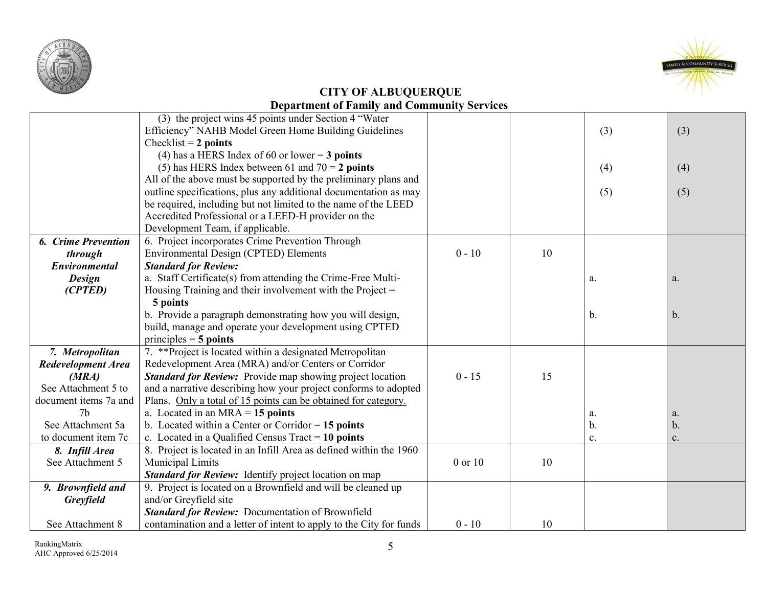



|                            | (3) the project wins 45 points under Section 4 "Water"              |          |    |     |               |
|----------------------------|---------------------------------------------------------------------|----------|----|-----|---------------|
|                            | Efficiency" NAHB Model Green Home Building Guidelines               |          |    | (3) | (3)           |
|                            | Checklist = $2$ points                                              |          |    |     |               |
|                            | (4) has a HERS Index of 60 or lower = $3$ points                    |          |    |     |               |
|                            | (5) has HERS Index between 61 and $70 = 2$ points                   |          |    | (4) | (4)           |
|                            | All of the above must be supported by the preliminary plans and     |          |    |     |               |
|                            | outline specifications, plus any additional documentation as may    |          |    | (5) | (5)           |
|                            | be required, including but not limited to the name of the LEED      |          |    |     |               |
|                            | Accredited Professional or a LEED-H provider on the                 |          |    |     |               |
|                            | Development Team, if applicable.                                    |          |    |     |               |
| <b>6. Crime Prevention</b> | 6. Project incorporates Crime Prevention Through                    |          |    |     |               |
| through                    | Environmental Design (CPTED) Elements                               | $0 - 10$ | 10 |     |               |
| Environmental              | <b>Standard for Review:</b>                                         |          |    |     |               |
| <b>Design</b>              | a. Staff Certificate(s) from attending the Crime-Free Multi-        |          |    | a.  | a.            |
| (CPTED)                    | Housing Training and their involvement with the Project $=$         |          |    |     |               |
|                            | 5 points                                                            |          |    |     |               |
|                            | b. Provide a paragraph demonstrating how you will design,           |          |    | b.  | $\mathbf b$ . |
|                            | build, manage and operate your development using CPTED              |          |    |     |               |
|                            | principles $=$ 5 points                                             |          |    |     |               |
| 7. Metropolitan            | 7. ** Project is located within a designated Metropolitan           |          |    |     |               |
| <b>Redevelopment Area</b>  | Redevelopment Area (MRA) and/or Centers or Corridor                 |          |    |     |               |
| (MRA)                      | <b>Standard for Review:</b> Provide map showing project location    | $0 - 15$ | 15 |     |               |
| See Attachment 5 to        | and a narrative describing how your project conforms to adopted     |          |    |     |               |
| document items 7a and      | Plans. Only a total of 15 points can be obtained for category.      |          |    |     |               |
| 7 <sub>b</sub>             | a. Located in an $MRA = 15$ points                                  |          |    | a.  | a.            |
| See Attachment 5a          | b. Located within a Center or Corridor $= 15$ points                |          |    | b.  | $\mathbf b$ . |
| to document item 7c        | c. Located in a Qualified Census Tract $= 10$ points                |          |    | c.  | c.            |
| 8. Infill Area             | 8. Project is located in an Infill Area as defined within the 1960  |          |    |     |               |
| See Attachment 5           | Municipal Limits                                                    | 0 or 10  | 10 |     |               |
|                            | <b>Standard for Review:</b> Identify project location on map        |          |    |     |               |
| 9. Brownfield and          | 9. Project is located on a Brownfield and will be cleaned up        |          |    |     |               |
| <b>Greyfield</b>           | and/or Greyfield site                                               |          |    |     |               |
|                            | <b>Standard for Review:</b> Documentation of Brownfield             |          |    |     |               |
| See Attachment 8           | contamination and a letter of intent to apply to the City for funds | $0 - 10$ | 10 |     |               |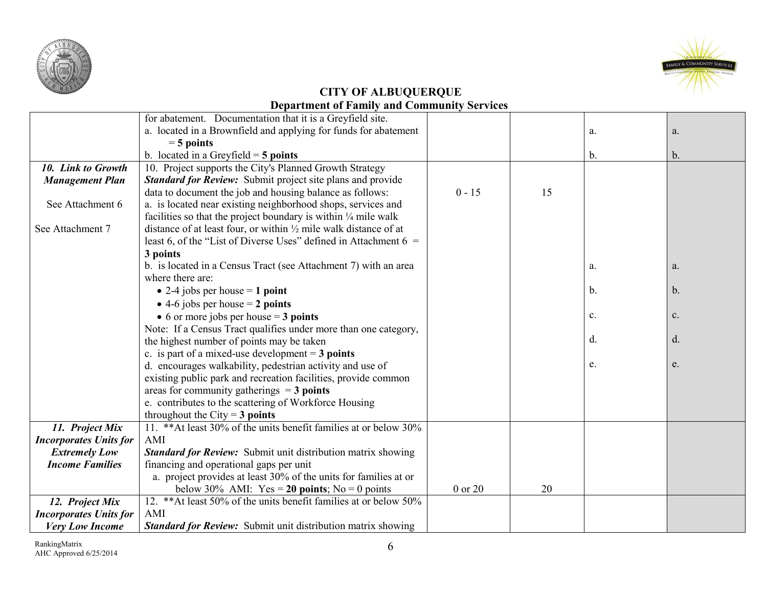



|                               | for abatement. Documentation that it is a Greyfield site.                   |          |    |    |                |
|-------------------------------|-----------------------------------------------------------------------------|----------|----|----|----------------|
|                               | a. located in a Brownfield and applying for funds for abatement             |          |    | a. | a.             |
|                               | $=$ 5 points                                                                |          |    |    |                |
|                               | b. located in a Greyfield $=$ 5 points                                      |          |    | b. | $\mathbf{b}$ . |
| 10. Link to Growth            | 10. Project supports the City's Planned Growth Strategy                     |          |    |    |                |
| <b>Management Plan</b>        | <b>Standard for Review:</b> Submit project site plans and provide           |          |    |    |                |
|                               | data to document the job and housing balance as follows:                    | $0 - 15$ | 15 |    |                |
| See Attachment 6              | a. is located near existing neighborhood shops, services and                |          |    |    |                |
|                               | facilities so that the project boundary is within $\frac{1}{4}$ mile walk   |          |    |    |                |
| See Attachment 7              | distance of at least four, or within $\frac{1}{2}$ mile walk distance of at |          |    |    |                |
|                               | least 6, of the "List of Diverse Uses" defined in Attachment $6 =$          |          |    |    |                |
|                               | 3 points                                                                    |          |    |    |                |
|                               | b. is located in a Census Tract (see Attachment 7) with an area             |          |    | a. | a.             |
|                               | where there are:                                                            |          |    |    |                |
|                               | • 2-4 jobs per house $= 1$ point                                            |          |    | b. | $\mathbf{b}$ . |
|                               | • 4-6 jobs per house $= 2$ points                                           |          |    |    |                |
|                               | • 6 or more jobs per house $=$ 3 points                                     |          |    | c. | c.             |
|                               | Note: If a Census Tract qualifies under more than one category,             |          |    |    |                |
|                               | the highest number of points may be taken                                   |          |    | d. | $d$ .          |
|                               | c. is part of a mixed-use development $=$ 3 points                          |          |    |    |                |
|                               | d. encourages walkability, pedestrian activity and use of                   |          |    | e. | e.             |
|                               | existing public park and recreation facilities, provide common              |          |    |    |                |
|                               | areas for community gatherings $=$ 3 points                                 |          |    |    |                |
|                               | e. contributes to the scattering of Workforce Housing                       |          |    |    |                |
|                               | throughout the City = $3$ points                                            |          |    |    |                |
| 11. Project Mix               | 11. ** At least 30% of the units benefit families at or below 30%           |          |    |    |                |
| <b>Incorporates Units for</b> | AMI                                                                         |          |    |    |                |
| <b>Extremely Low</b>          | <b>Standard for Review:</b> Submit unit distribution matrix showing         |          |    |    |                |
| <b>Income Families</b>        | financing and operational gaps per unit                                     |          |    |    |                |
|                               | a. project provides at least 30% of the units for families at or            |          |    |    |                |
|                               | below 30% AMI: Yes = 20 points; No = 0 points                               | 0 or 20  | 20 |    |                |
| 12. Project Mix               | 12. ** At least 50% of the units benefit families at or below 50%           |          |    |    |                |
| <b>Incorporates Units for</b> | AMI                                                                         |          |    |    |                |
| <b>Very Low Income</b>        | <b>Standard for Review:</b> Submit unit distribution matrix showing         |          |    |    |                |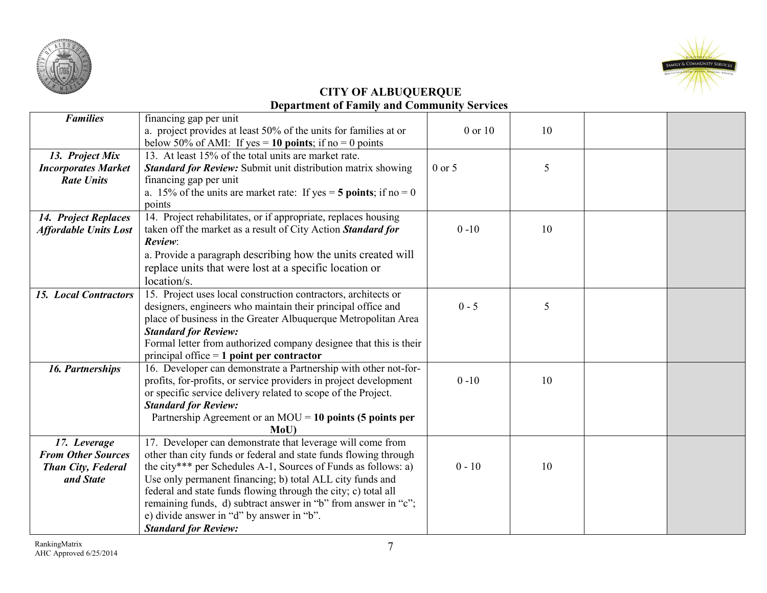



| <b>Families</b>              | financing gap per unit                                              |            |    |  |
|------------------------------|---------------------------------------------------------------------|------------|----|--|
|                              | a. project provides at least 50% of the units for families at or    | 0 or 10    | 10 |  |
|                              | below 50% of AMI: If yes = 10 points; if no = 0 points              |            |    |  |
| 13. Project Mix              | 13. At least 15% of the total units are market rate.                |            |    |  |
| <b>Incorporates Market</b>   | <b>Standard for Review:</b> Submit unit distribution matrix showing | $0$ or $5$ | 5  |  |
| <b>Rate Units</b>            | financing gap per unit                                              |            |    |  |
|                              | a. 15% of the units are market rate: If yes = $5$ points; if no = 0 |            |    |  |
|                              | points                                                              |            |    |  |
| 14. Project Replaces         | 14. Project rehabilitates, or if appropriate, replaces housing      |            |    |  |
| <b>Affordable Units Lost</b> | taken off the market as a result of City Action Standard for        | $0 - 10$   | 10 |  |
|                              | Review:                                                             |            |    |  |
|                              | a. Provide a paragraph describing how the units created will        |            |    |  |
|                              | replace units that were lost at a specific location or              |            |    |  |
|                              | location/s.                                                         |            |    |  |
| <b>15. Local Contractors</b> | 15. Project uses local construction contractors, architects or      |            |    |  |
|                              | designers, engineers who maintain their principal office and        | $0 - 5$    | 5  |  |
|                              | place of business in the Greater Albuquerque Metropolitan Area      |            |    |  |
|                              | <b>Standard for Review:</b>                                         |            |    |  |
|                              | Formal letter from authorized company designee that this is their   |            |    |  |
|                              | principal office $= 1$ point per contractor                         |            |    |  |
| 16. Partnerships             | 16. Developer can demonstrate a Partnership with other not-for-     |            |    |  |
|                              | profits, for-profits, or service providers in project development   | $0 - 10$   | 10 |  |
|                              | or specific service delivery related to scope of the Project.       |            |    |  |
|                              | <b>Standard for Review:</b>                                         |            |    |  |
|                              | Partnership Agreement or an $MOU = 10$ points (5 points per         |            |    |  |
|                              | MoU                                                                 |            |    |  |
| 17. Leverage                 | 17. Developer can demonstrate that leverage will come from          |            |    |  |
| <b>From Other Sources</b>    | other than city funds or federal and state funds flowing through    |            |    |  |
| Than City, Federal           | the city*** per Schedules A-1, Sources of Funds as follows: a)      | $0 - 10$   | 10 |  |
| and State                    | Use only permanent financing; b) total ALL city funds and           |            |    |  |
|                              | federal and state funds flowing through the city; c) total all      |            |    |  |
|                              | remaining funds, d) subtract answer in "b" from answer in "c";      |            |    |  |
|                              | e) divide answer in "d" by answer in "b".                           |            |    |  |
|                              | <b>Standard for Review:</b>                                         |            |    |  |